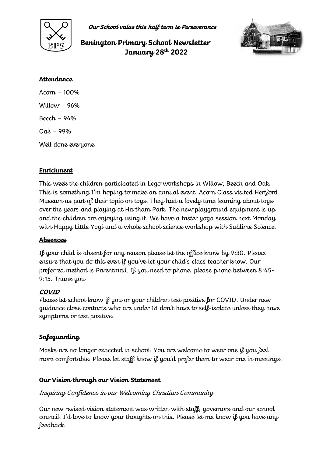

**Our School value this half term is Perseverance**

# **Benington Primary School Newsletter January 28th 2022**



#### **Attendance**

Acorn – 100% Willow  $-96%$ Beech – 94% Oak – 99% Well done everyone.

## **Enrichment**

This week the children participated in Lego workshops in Willow, Beech and Oak. This is something I'm hoping to make an annual event. Acorn Class visited Hertford Museum as part of their topic on toys. They had a lovely time learning about toys over the years and playing at Hartham Park. The new playground equipment is up and the children are enjoying using it. We have a taster yoga session next Monday with Happy Little Yogi and a whole school science workshop with Sublime Science.

### **Absences**

If your child is absent for any reason please let the office know by 9:30. Please ensure that you do this even if you've let your child's class teacher know. Our preferred method is Parentmail. If you need to phone, please phone between 8:45- 9:15. Thank you

### **COVID**

<sup>P</sup>lease let school know if you or your children test positive for COVID. Under new guidance close contacts who are under 18 don't have to self-isolate unless they have symptoms or test positive.

## **Safeguarding**

Masks are no longer expected in school. You are welcome to wear one if you feel more comfortable. Please let staff know if you'd prefer them to wear one in meetings.

### **Our Vision through our Vision Statement**

#### Inspiring Confidence in our Welcoming Christian Community

Our new revised vision statement was written with staff, governors and our school council. I'd love to know your thoughts on this. Please let me know if you have any feedback.